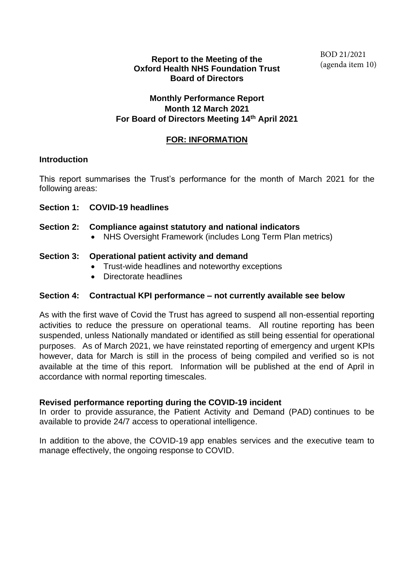### **Report to the Meeting of the Oxford Health NHS Foundation Trust Board of Directors**

## **Monthly Performance Report Month 12 March 2021 For Board of Directors Meeting 14th April 2021**

## **FOR: INFORMATION**

### **Introduction**

This report summarises the Trust's performance for the month of March 2021 for the following areas:

## **Section 1: COVID-19 headlines**

### **Section 2: Compliance against statutory and national indicators**

• NHS Oversight Framework (includes Long Term Plan metrics)

### **Section 3: Operational patient activity and demand**

- Trust-wide headlines and noteworthy exceptions
- Directorate headlines

## **Section 4: Contractual KPI performance – not currently available see below**

As with the first wave of Covid the Trust has agreed to suspend all non-essential reporting activities to reduce the pressure on operational teams. All routine reporting has been suspended, unless Nationally mandated or identified as still being essential for operational purposes. As of March 2021, we have reinstated reporting of emergency and urgent KPIs however, data for March is still in the process of being compiled and verified so is not available at the time of this report. Information will be published at the end of April in accordance with normal reporting timescales.

### **Revised performance reporting during the COVID-19 incident**

In order to provide assurance, the Patient Activity and Demand (PAD) continues to be available to provide 24/7 access to operational intelligence.

In addition to the above, the COVID-19 app enables services and the executive team to manage effectively, the ongoing response to COVID.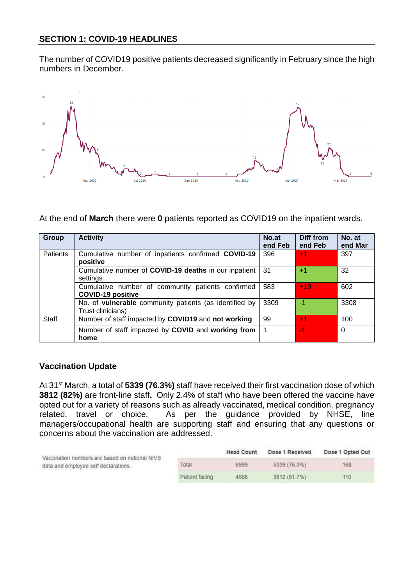The number of COVID19 positive patients decreased significantly in February since the high numbers in December.



At the end of **March** there were **0** patients reported as COVID19 on the inpatient wards.

| Group        | <b>Activity</b>                                                               | No.at<br>end Feb | Diff from<br>end Feb | No. at<br>end Mar |
|--------------|-------------------------------------------------------------------------------|------------------|----------------------|-------------------|
| Patients     | Cumulative number of inpatients confirmed COVID-19<br>positive                | 396              | $+1$                 | 397               |
|              | Cumulative number of COVID-19 deaths in our inpatient<br>settings             | 31               | $+1$                 | 32                |
|              | Cumulative number of community patients confirmed<br><b>COVID-19 positive</b> | 583              | $+19$                | 602               |
|              | No. of vulnerable community patients (as identified by<br>Trust clinicians)   | 3309             | -1                   | 3308              |
| <b>Staff</b> | Number of staff impacted by COVID19 and not working                           | 99               | $+1$                 | 100               |
|              | Number of staff impacted by COVID and working from<br>home                    | 1                | $-1$                 | $\Omega$          |

### **Vaccination Update**

At 31st March, a total of **5339 (76.3%)** staff have received their first vaccination dose of which **3812 (82%)** are front-line staff**.** Only 2.4% of staff who have been offered the vaccine have opted out for a variety of reasons such as already vaccinated, medical condition, pregnancy related, travel or choice. As per the guidance provided by NHSE, line managers/occupational health are supporting staff and ensuring that any questions or concerns about the vaccination are addressed.

| Vaccination numbers are based on national NIVS |                | <b>Head Count</b> | Dose 1 Received | Dose 1 Opted Out |
|------------------------------------------------|----------------|-------------------|-----------------|------------------|
| data and employee self declarations.           | Total          | 6999              | 5339 (76.3%)    | 168              |
|                                                | Patient facing | 4668              | 3812 (81.7%)    | 110              |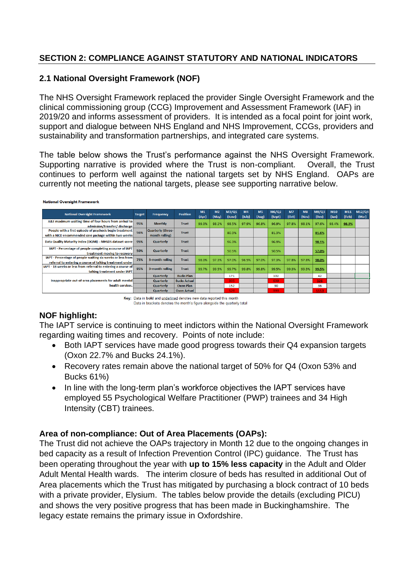## **SECTION 2: COMPLIANCE AGAINST STATUTORY AND NATIONAL INDICATORS**

# **2.1 National Oversight Framework (NOF)**

The NHS Oversight Framework replaced the provider [Single Oversight Framework](https://improvement.nhs.uk/resources/single-oversight-framework/) and the clinical commissioning group (CCG) [Improvement and Assessment Framework \(IAF\)](https://www.england.nhs.uk/publication/ccg-improvement-and-assessment-framework-ccg-iaf-2018-19/) in 2019/20 and informs assessment of providers. It is intended as a focal point for joint work, support and dialogue between NHS England and NHS Improvement, CCGs, providers and sustainability and transformation partnerships, and integrated care systems.

The table below shows the Trust's performance against the NHS Oversight Framework. Supporting narrative is provided where the Trust is non-compliant. Overall, the Trust continues to perform well against the national targets set by NHS England. OAPs are currently not meeting the national targets, please see supporting narrative below.

| <b>National Oversight Framework</b>                                                                                    | <b>Target</b> | Frequency                           | <b>Position</b>     | M <sub>1</sub><br>(Apr) | M <sub>2</sub><br>(May) | M3/Q1<br>(June) | M <sub>4</sub><br>(July) | <b>M5</b><br>(Aug) | M6/Q2<br>(Sept) | M <sub>7</sub><br>(Oct) | M8<br>(Nov) | M9/Q3<br>(Dec) | M10<br>(Jan) | M11<br>(Feb) | M12/Q4<br>(Mar) |
|------------------------------------------------------------------------------------------------------------------------|---------------|-------------------------------------|---------------------|-------------------------|-------------------------|-----------------|--------------------------|--------------------|-----------------|-------------------------|-------------|----------------|--------------|--------------|-----------------|
| A&E maximum waiting time of four hours from arrival to<br>admission/transfer/discharge                                 |               | <b>Monthly</b>                      | <b>Trust</b>        | 99.0%                   | 98.2%                   | 98.5%           | 97.9%                    | 96.8%              | 96.9%           | 97.8%                   | 98.1%       | 97.6%          | 98.4%        | 98.3%        |                 |
| People with a first episode of psychosis begin treatment<br>with a NICE-recommended care package within two weeks      | 56%           | Quarterly (three-<br>month rolling) | <b>Trust</b>        |                         |                         | 80.3%           |                          |                    | 81.3%           |                         |             | 81.6%          |              |              |                 |
| Data Quality Maturity Index (DQMI) - MHSDS dataset score                                                               | 95%           | Quarterly                           | <b>Trust</b>        |                         |                         | 96.3%           |                          |                    | 96.9%           |                         |             | 98.1%          |              |              |                 |
| IAPT - Percentage of people completing a course of IAPT<br>treatment moving to recovery                                | 50%           | Quarterly                           | <b>Trust</b>        |                         |                         | 50.5%           |                          |                    | 50.5%           |                         |             | 57.0%          |              |              |                 |
| IAPT - Percentage of people waiting six weeks or less from<br>referral to entering a course of talking treatment under | 75%           | 3-month rolling                     | <b>Trust</b>        | 98.0%                   | 97.3%                   | 97.0%           | 96.5%                    | 97.0%              | 97.3%           | 97.8%                   | 97.8%       | 98.0%          |              |              |                 |
| IAPT - 18 weeks or less from referral to entering a course of<br>talking treatment under IAPT                          | 95%           | 3-month rolling                     | <b>Trust</b>        | 99.7%                   | 99.5%                   | 99.7%           | 99.8%                    | 99.8%              | 99.5%           | 99.3%                   | 99.3%       | 99.5%          |              |              |                 |
|                                                                                                                        |               | Quarterly                           | <b>Bucks Plan</b>   |                         |                         | 171             |                          |                    | 102             |                         |             | 42             |              |              |                 |
| Inappropriate out-of-area placements for adult mental<br>health services.                                              |               | <b>Quarterly</b>                    | <b>Bucks Actual</b> |                         |                         | 335             |                          |                    | 639             |                         |             | 326            |              |              |                 |
|                                                                                                                        |               | Quarterly                           | <b>Oxon Plan</b>    |                         |                         | 152             |                          |                    | 90              |                         |             | 36             |              |              |                 |
|                                                                                                                        |               | Quarterly                           | <b>Oxon Actual</b>  |                         |                         | 529             |                          |                    | 999             |                         |             | 1113           |              |              |                 |

#### **National Oversight Framework**

Key: Data in bold and underlined denotes new data reported this month Data in brackets denotes the month's figure alongside the quarterly total

# **NOF highlight:**

The IAPT service is continuing to meet indictors within the National Oversight Framework regarding waiting times and recovery. Points of note include:

- Both IAPT services have made good progress towards their Q4 expansion targets (Oxon 22.7% and Bucks 24.1%).
- Recovery rates remain above the national target of 50% for Q4 (Oxon 53% and Bucks 61%)
- In line with the long-term plan's workforce objectives the IAPT services have employed 55 Psychological Welfare Practitioner (PWP) trainees and 34 High Intensity (CBT) trainees.

# **Area of non-compliance: Out of Area Placements (OAPs):**

The Trust did not achieve the OAPs trajectory in Month 12 due to the ongoing changes in bed capacity as a result of Infection Prevention Control (IPC) guidance. The Trust has been operating throughout the year with **up to 15% less capacity** in the Adult and Older Adult Mental Health wards. The interim closure of beds has resulted in additional Out of Area placements which the Trust has mitigated by purchasing a block contract of 10 beds with a private provider, Elysium. The tables below provide the details (excluding PICU) and shows the very positive progress that has been made in Buckinghamshire. The legacy estate remains the primary issue in Oxfordshire.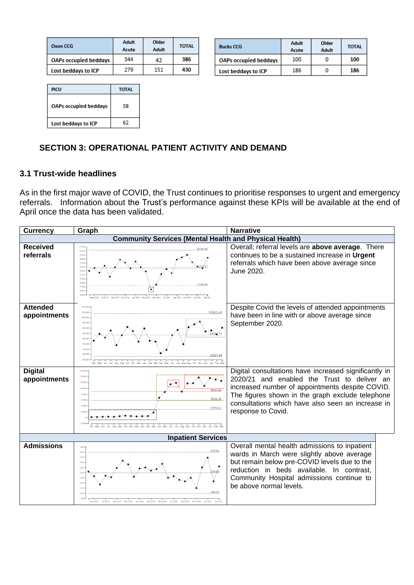| Oxon CCG              | Adult<br>Acute | Older<br>Adult | <b>TOTAL</b> |
|-----------------------|----------------|----------------|--------------|
| OAPs occupied beddays | 344            | 42             | 386          |
| Lost beddays to ICP   | 279            | 151            | 430          |

| <b>Bucks CCG</b>             | Adult<br>Acute | Older<br>Adult | <b>TOTAL</b> |
|------------------------------|----------------|----------------|--------------|
| <b>OAPs occupied beddays</b> | 100            | 0              | 100          |
| Lost beddays to ICP          | 186            |                | 186          |

| PICU                  | <b>TOTAL</b> |
|-----------------------|--------------|
| OAPs occupied beddays | 38           |
| Lost beddays to ICP   | 62           |

# **SECTION 3: OPERATIONAL PATIENT ACTIVITY AND DEMAND**

## **3.1 Trust-wide headlines**

As in the first major wave of COVID, the Trust continues to prioritise responses to urgent and emergency referrals. Information about the Trust's performance against these KPIs will be available at the end of April once the data has been validated.

| <b>Currency</b>                 | Graph                                                                                                                                                    | <b>Narrative</b>                                                                                                                                                                                                                                                                       |
|---------------------------------|----------------------------------------------------------------------------------------------------------------------------------------------------------|----------------------------------------------------------------------------------------------------------------------------------------------------------------------------------------------------------------------------------------------------------------------------------------|
|                                 | <b>Community Services (Mental Health and Physical Health)</b>                                                                                            |                                                                                                                                                                                                                                                                                        |
| <b>Received</b><br>referrals    | 21,000<br>20.00<br>19,000<br>18,000<br>17,000<br>16,000<br>15.00<br>14.00<br>13,000<br>12,000<br>11292.8<br>11,000<br>¥<br>10,000<br>9.000               | Overall; referral levels are above average. There<br>continues to be a sustained increase in Urgent<br>referrals which have been above average since<br>June 2020.                                                                                                                     |
| <b>Attended</b><br>appointments | 110,000<br>105,000<br>100,000<br>95,000<br>90,000<br>85.00<br>80.00<br>75.00<br>70.00<br>65,000<br>60.00                                                 | Despite Covid the levels of attended appointments<br>have been in line with or above average since<br>September 2020.                                                                                                                                                                  |
| <b>Digital</b><br>appointments  | 14,000<br>14,000<br>12,000<br>10,000<br>8900.44<br>8.00<br>5836.38<br>$A$ <sub>CO</sub><br>Oct Nov Dec Jan Feb Mar Apr May Jun Jul Aug Sep Oct Nov Dec . | Digital consultations have increased significantly in<br>2020/21 and enabled the Trust to deliver an<br>increased number of appointments despite COVID.<br>The figures shown in the graph exclude telephone<br>consultations which have also seen an increase in<br>response to Covid. |
|                                 | <b>Inpatient Services</b>                                                                                                                                |                                                                                                                                                                                                                                                                                        |
| <b>Admissions</b>               | 2k<br>200<br>200<br>200<br>240<br>98<br>w<br>źst<br>98<br>1R)<br>May 2016                                                                                | Overall mental health admissions to inpatient<br>wards in March were slightly above average<br>but remain below pre-COVID levels due to the<br>reduction in beds available. In contrast,<br>Community Hospital admissions continue to<br>be above normal levels.                       |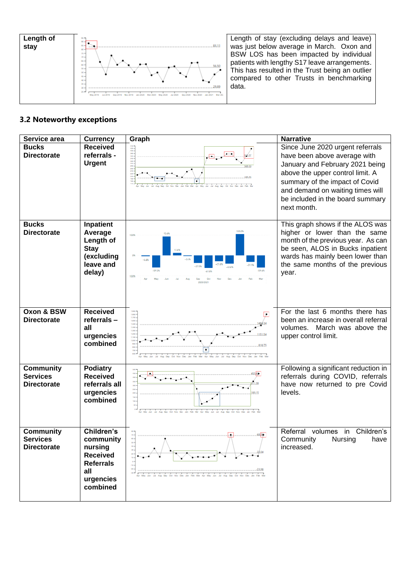

Length of stay (excluding delays and leave) was just below average in March. Oxon and BSW LOS has been impacted by individual patients with lengthy S17 leave arrangements. This has resulted in the Trust being an outlier compared to other Trusts in benchmarking data.

## **3.2 Noteworthy exceptions**

| Service area                                              | <b>Currency</b>                                                                                                  | Graph                                                                           | <b>Narrative</b>                                                                                                                                                                                                                                                 |
|-----------------------------------------------------------|------------------------------------------------------------------------------------------------------------------|---------------------------------------------------------------------------------|------------------------------------------------------------------------------------------------------------------------------------------------------------------------------------------------------------------------------------------------------------------|
| <b>Bucks</b><br><b>Directorate</b>                        | <b>Received</b><br>referrals -<br><b>Urgent</b>                                                                  | 10:00:00 30:00 30:00<br>228<br>300                                              | Since June 2020 urgent referrals<br>have been above average with<br>January and February 2021 being<br>above the upper control limit. A<br>summary of the impact of Covid<br>and demand on waiting times will<br>be included in the board summary<br>next month. |
| <b>Bucks</b><br><b>Directorate</b>                        | Inpatient<br>Average<br>Length of<br><b>Stay</b><br>(excluding<br>leave and<br>delay)                            | 93.6%<br>13.6%                                                                  | This graph shows if the ALOS was<br>higher or lower than the same<br>month of the previous year. As can<br>be seen, ALOS in Bucks inpatient<br>wards has mainly been lower than<br>the same months of the previous<br>year.                                      |
| Oxon & BSW<br><b>Directorate</b>                          | <b>Received</b><br>referrals-<br>all<br>urgencies<br>combined                                                    | UKO<br>1,708<br>1,600<br>1,400<br>1.300<br>.<br>Ian Feb Mar Apr May Jun Jul Aug | For the last 6 months there has<br>been an increase in overall referral<br>volumes. March was above the<br>upper control limit.                                                                                                                                  |
| <b>Community</b><br><b>Services</b><br><b>Directorate</b> | <b>Podiatry</b><br><b>Received</b><br>referrals all<br>urgencies<br>combined                                     | 89.15                                                                           | Following a significant reduction in<br>referrals during COVID, referrals<br>have now returned to pre Covid<br>levels.                                                                                                                                           |
| <b>Community</b><br><b>Services</b><br><b>Directorate</b> | <b>Children's</b><br>community<br>nursing<br><b>Received</b><br><b>Referrals</b><br>all<br>urgencies<br>combined | -10<br>$\frac{1}{2}$                                                            | Children's<br>Referral<br>in<br>volumes<br>Nursing<br>Community<br>have<br>increased.                                                                                                                                                                            |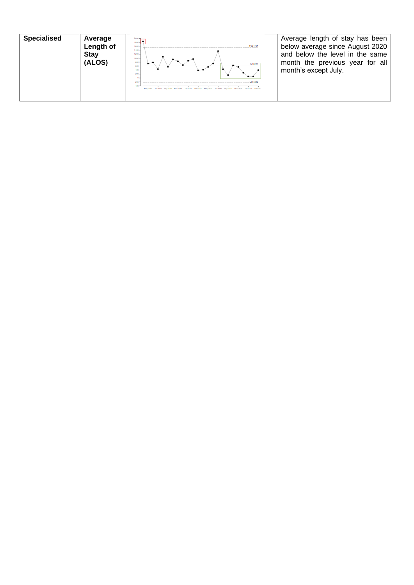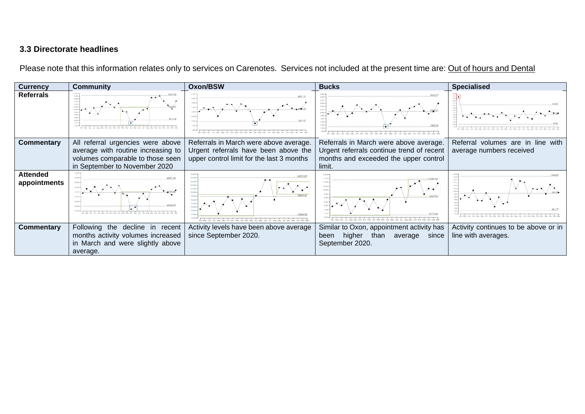# **3.3 Directorate headlines**

Please note that this information relates only to services on Carenotes. Services not included at the present time are: Out of hours and Dental

| <b>Currency</b>                 | <b>Community</b>                                                                                                                             | <b>Oxon/BSW</b>                                                                                                             | <b>Bucks</b>                                                                                                                           | <b>Specialised</b>                                            |
|---------------------------------|----------------------------------------------------------------------------------------------------------------------------------------------|-----------------------------------------------------------------------------------------------------------------------------|----------------------------------------------------------------------------------------------------------------------------------------|---------------------------------------------------------------|
| <b>Referrals</b>                | 11,500 x                                                                                                                                     |                                                                                                                             |                                                                                                                                        |                                                               |
| <b>Commentary</b>               | All referral urgencies were above<br>average with routine increasing to<br>volumes comparable to those seen<br>in September to November 2020 | Referrals in March were above average.<br>Urgent referrals have been above the<br>upper control limit for the last 3 months | Referrals in March were above average.<br>Urgent referrals continue trend of recent<br>months and exceeded the upper control<br>limit. | Referral volumes are in line with<br>average numbers received |
| <b>Attended</b><br>appointments |                                                                                                                                              | 21,000<br>30,000<br>19,000<br>18,000<br>17,000<br>50,000<br>15,000                                                          |                                                                                                                                        |                                                               |
| <b>Commentary</b>               | Following the decline in recent<br>months activity volumes increased<br>in March and were slightly above<br>average.                         | Activity levels have been above average<br>since September 2020.                                                            | Similar to Oxon, appointment activity has<br>than<br>higher<br>since<br>average<br>been<br>September 2020.                             | Activity continues to be above or in<br>line with averages.   |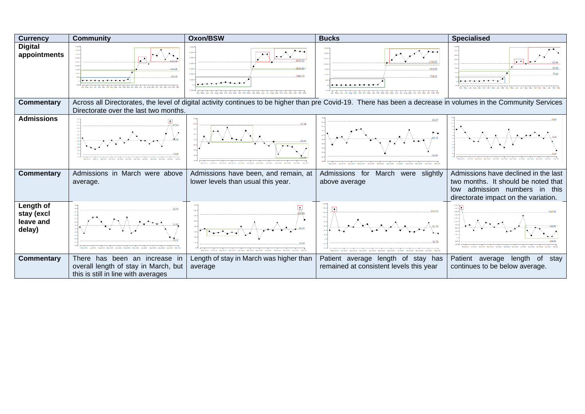